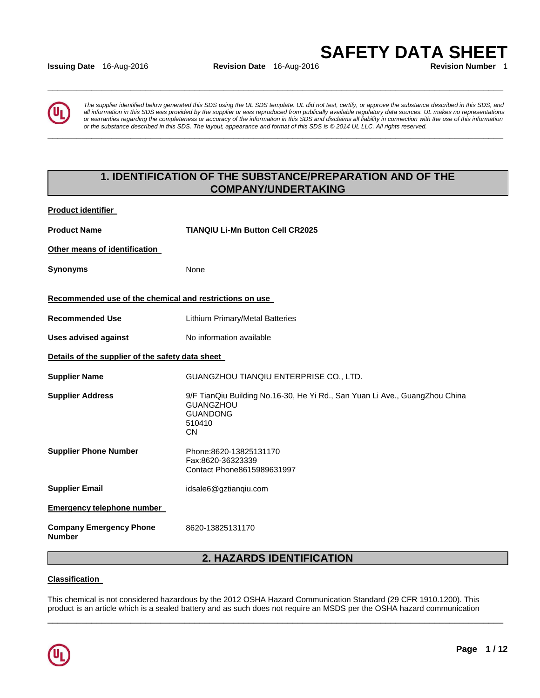#### **Issuing Date** 16-Aug-2016 **Revision Date** 16-Aug-2016

**SAFETY DATA SHEET** 

**\_\_\_\_\_\_\_\_\_\_\_\_\_\_\_\_\_\_\_\_\_\_\_\_\_\_\_\_\_\_\_\_\_\_\_\_\_\_\_\_\_\_\_\_\_\_\_\_\_\_\_\_\_\_\_\_\_\_\_\_\_\_\_\_\_\_\_\_\_\_\_\_\_\_\_\_\_\_\_\_\_\_\_\_\_\_\_\_\_\_\_\_\_** 

**\_\_\_\_\_\_\_\_\_\_\_\_\_\_\_\_\_\_\_\_\_\_\_\_\_\_\_\_\_\_\_\_\_\_\_\_\_\_\_\_\_\_\_\_\_\_\_\_\_\_\_\_\_\_\_\_\_\_\_\_\_\_\_\_\_\_\_\_\_\_\_\_\_\_\_\_\_\_\_\_\_\_\_\_\_\_\_\_\_\_\_\_\_** 

*The supplier identified below generated this SDS using the UL SDS template. UL did not test, certify, or approve the substance described in this SDS, and all information in this SDS was provided by the supplier or was reproduced from publically available regulatory data sources. UL makes no representations or warranties regarding the completeness or accuracy of the information in this SDS and disclaims all liability in connection with the use of this information or the substance described in this SDS. The layout, appearance and format of this SDS is © 2014 UL LLC. All rights reserved.* 

# **1. IDENTIFICATION OF THE SUBSTANCE/PREPARATION AND OF THE COMPANY/UNDERTAKING**

**Product identifier** 

| <b>Product Name</b>                                     | <b>TIANQIU Li-Mn Button Cell CR2025</b>                                                                                                   |  |
|---------------------------------------------------------|-------------------------------------------------------------------------------------------------------------------------------------------|--|
| Other means of identification                           |                                                                                                                                           |  |
| <b>Synonyms</b>                                         | None                                                                                                                                      |  |
| Recommended use of the chemical and restrictions on use |                                                                                                                                           |  |
| <b>Recommended Use</b>                                  | Lithium Primary/Metal Batteries                                                                                                           |  |
| <b>Uses advised against</b>                             | No information available                                                                                                                  |  |
| Details of the supplier of the safety data sheet        |                                                                                                                                           |  |
| <b>Supplier Name</b>                                    | GUANGZHOU TIANQIU ENTERPRISE CO., LTD.                                                                                                    |  |
| <b>Supplier Address</b>                                 | 9/F TianQiu Building No.16-30, He Yi Rd., San Yuan Li Ave., GuangZhou China<br><b>GUANGZHOU</b><br><b>GUANDONG</b><br>510410<br><b>CN</b> |  |
| <b>Supplier Phone Number</b>                            | Phone:8620-13825131170<br>Fax:8620-36323339<br>Contact Phone8615989631997                                                                 |  |
| <b>Supplier Email</b>                                   | idsale6@gztianqiu.com                                                                                                                     |  |
| <b>Emergency telephone number</b>                       |                                                                                                                                           |  |
| <b>Company Emergency Phone</b><br><b>Number</b>         | 8620-13825131170                                                                                                                          |  |

# **2. HAZARDS IDENTIFICATION**

\_\_\_\_\_\_\_\_\_\_\_\_\_\_\_\_\_\_\_\_\_\_\_\_\_\_\_\_\_\_\_\_\_\_\_\_\_\_\_\_\_\_\_\_\_\_\_\_\_\_\_\_\_\_\_\_\_\_\_\_\_\_\_\_\_\_\_\_\_\_\_\_\_\_\_\_\_\_\_\_\_\_\_\_\_\_\_\_\_\_\_\_\_

#### **Classification**

This chemical is not considered hazardous by the 2012 OSHA Hazard Communication Standard (29 CFR 1910.1200). This product is an article which is a sealed battery and as such does not require an MSDS per the OSHA hazard communication

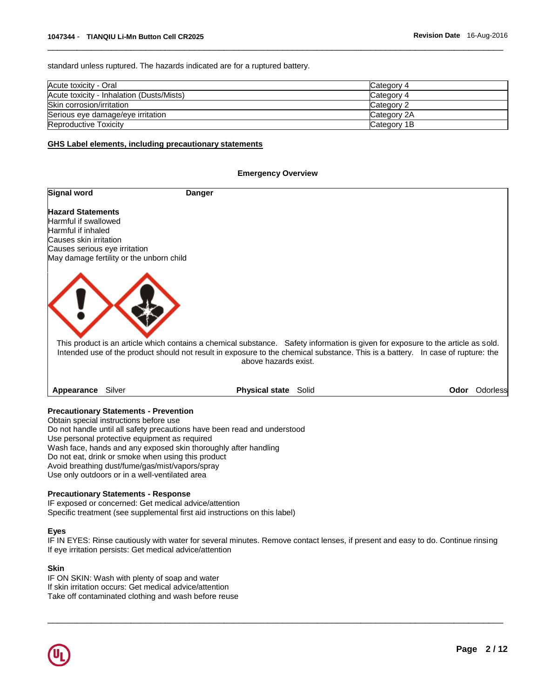standard unless ruptured. The hazards indicated are for a ruptured battery.

| Acute toxicity - Oral                     | Category 4  |
|-------------------------------------------|-------------|
| Acute toxicity - Inhalation (Dusts/Mists) | Category 4  |
| Skin corrosion/irritation                 | Category 2  |
| Serious eye damage/eye irritation         | Category 2A |
| Reproductive Toxicity                     | Category 1B |

\_\_\_\_\_\_\_\_\_\_\_\_\_\_\_\_\_\_\_\_\_\_\_\_\_\_\_\_\_\_\_\_\_\_\_\_\_\_\_\_\_\_\_\_\_\_\_\_\_\_\_\_\_\_\_\_\_\_\_\_\_\_\_\_\_\_\_\_\_\_\_\_\_\_\_\_\_\_\_\_\_\_\_\_\_\_\_\_\_\_\_\_\_

#### **GHS Label elements, including precautionary statements**

#### **Emergency Overview**

# **Signal word Danger Hazard Statements** Harmful if swallowed Harmful if inhaled Causes skin irritation Causes serious eye irritation May damage fertility or the unborn child This product is an article which contains a chemical substance. Safety information is given for exposure to the article as sold. Intended use of the product should not result in exposure to the chemical substance. This is a battery. In case of rupture: the above hazards exist. **Appearance** Silver **Physical state** Solid **Odor** Odorless **Precautionary Statements - Prevention**

Obtain special instructions before use Do not handle until all safety precautions have been read and understood Use personal protective equipment as required Wash face, hands and any exposed skin thoroughly after handling Do not eat, drink or smoke when using this product Avoid breathing dust/fume/gas/mist/vapors/spray Use only outdoors or in a well-ventilated area

#### **Precautionary Statements - Response**

IF exposed or concerned: Get medical advice/attention Specific treatment (see supplemental first aid instructions on this label)

#### **Eyes**

IF IN EYES: Rinse cautiously with water for several minutes. Remove contact lenses, if present and easy to do. Continue rinsing If eye irritation persists: Get medical advice/attention

\_\_\_\_\_\_\_\_\_\_\_\_\_\_\_\_\_\_\_\_\_\_\_\_\_\_\_\_\_\_\_\_\_\_\_\_\_\_\_\_\_\_\_\_\_\_\_\_\_\_\_\_\_\_\_\_\_\_\_\_\_\_\_\_\_\_\_\_\_\_\_\_\_\_\_\_\_\_\_\_\_\_\_\_\_\_\_\_\_\_\_\_\_

#### **Skin**

IF ON SKIN: Wash with plenty of soap and water If skin irritation occurs: Get medical advice/attention Take off contaminated clothing and wash before reuse

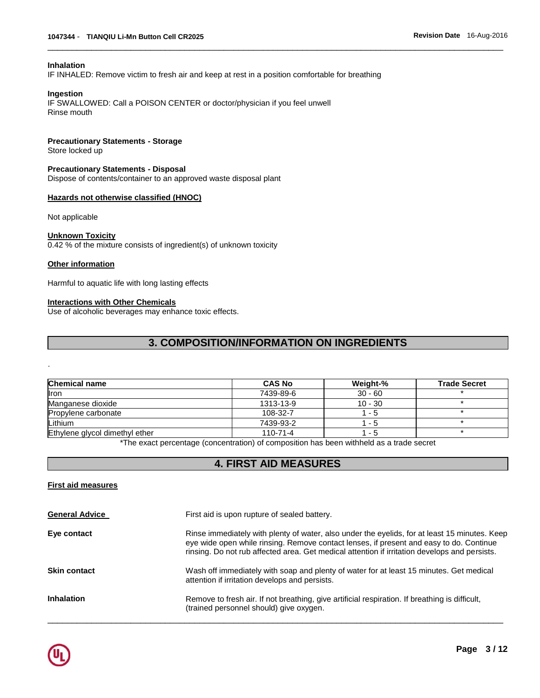#### **Inhalation**

IF INHALED: Remove victim to fresh air and keep at rest in a position comfortable for breathing

#### **Ingestion**

IF SWALLOWED: Call a POISON CENTER or doctor/physician if you feel unwell Rinse mouth

#### **Precautionary Statements - Storage**

Store locked up

#### **Precautionary Statements - Disposal**

Dispose of contents/container to an approved waste disposal plant

#### **Hazards not otherwise classified (HNOC)**

Not applicable

#### **Unknown Toxicity**

0.42 % of the mixture consists of ingredient(s) of unknown toxicity

#### **Other information**

.

Harmful to aquatic life with long lasting effects

#### **Interactions with Other Chemicals**

Use of alcoholic beverages may enhance toxic effects.

#### **3. COMPOSITION/INFORMATION ON INGREDIENTS**

\_\_\_\_\_\_\_\_\_\_\_\_\_\_\_\_\_\_\_\_\_\_\_\_\_\_\_\_\_\_\_\_\_\_\_\_\_\_\_\_\_\_\_\_\_\_\_\_\_\_\_\_\_\_\_\_\_\_\_\_\_\_\_\_\_\_\_\_\_\_\_\_\_\_\_\_\_\_\_\_\_\_\_\_\_\_\_\_\_\_\_\_\_

| <b>Chemical name</b>           | <b>CAS No</b>  | Weight-%  | <b>Trade Secret</b> |
|--------------------------------|----------------|-----------|---------------------|
| <b>I</b> ron                   | 7439-89-6      | $30 - 60$ |                     |
| Manganese dioxide              | 1313-13-9      | $10 - 30$ |                     |
| Propylene carbonate            | 108-32-7       | 1 - 5     |                     |
| Lithium                        | 7439-93-2      | 1 - 5     |                     |
| Ethylene glycol dimethyl ether | $110 - 71 - 4$ | 1 - 5     |                     |

\*The exact percentage (concentration) of composition has been withheld as a trade secret

# **4. FIRST AID MEASURES**

#### **First aid measures**

| <b>General Advice</b> | First aid is upon rupture of sealed battery.                                                                                                                                                                                                                                              |
|-----------------------|-------------------------------------------------------------------------------------------------------------------------------------------------------------------------------------------------------------------------------------------------------------------------------------------|
| Eye contact           | Rinse immediately with plenty of water, also under the eyelids, for at least 15 minutes. Keep<br>eye wide open while rinsing. Remove contact lenses, if present and easy to do. Continue<br>rinsing. Do not rub affected area. Get medical attention if irritation develops and persists. |
| <b>Skin contact</b>   | Wash off immediately with soap and plenty of water for at least 15 minutes. Get medical<br>attention if irritation develops and persists.                                                                                                                                                 |
| <b>Inhalation</b>     | Remove to fresh air. If not breathing, give artificial respiration. If breathing is difficult,<br>(trained personnel should) give oxygen.                                                                                                                                                 |

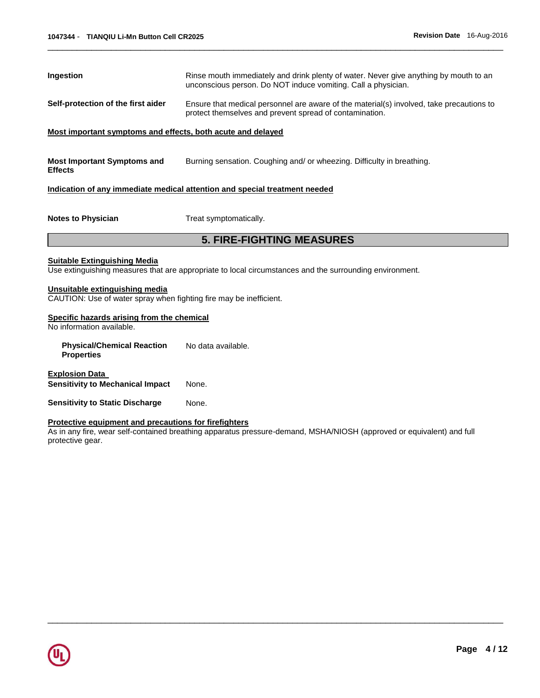| Ingestion                                                   | Rinse mouth immediately and drink plenty of water. Never give anything by mouth to an<br>unconscious person. Do NOT induce vomiting. Call a physician. |
|-------------------------------------------------------------|--------------------------------------------------------------------------------------------------------------------------------------------------------|
| Self-protection of the first aider                          | Ensure that medical personnel are aware of the material(s) involved, take precautions to<br>protect themselves and prevent spread of contamination.    |
| Most important symptoms and effects, both acute and delayed |                                                                                                                                                        |

**Most Important Symptoms and Effects**  Burning sensation. Coughing and/ or wheezing. Difficulty in breathing.

#### **Indication of any immediate medical attention and special treatment needed**

| <b>Notes to Physician</b> | Treat symptomatically. |
|---------------------------|------------------------|
|---------------------------|------------------------|

### **5. FIRE-FIGHTING MEASURES**

#### **Suitable Extinguishing Media**

Use extinguishing measures that are appropriate to local circumstances and the surrounding environment.

#### **Unsuitable extinguishing media**

CAUTION: Use of water spray when fighting fire may be inefficient.

#### **Specific hazards arising from the chemical**

No information available.

| <b>Physical/Chemical Reaction</b> | No data available. |
|-----------------------------------|--------------------|
| <b>Properties</b>                 |                    |
|                                   |                    |

**Explosion Data Sensitivity to Mechanical Impact** None.

**Sensitivity to Static Discharge Mone.** 

#### **Protective equipment and precautions for firefighters**

As in any fire, wear self-contained breathing apparatus pressure-demand, MSHA/NIOSH (approved or equivalent) and full protective gear.

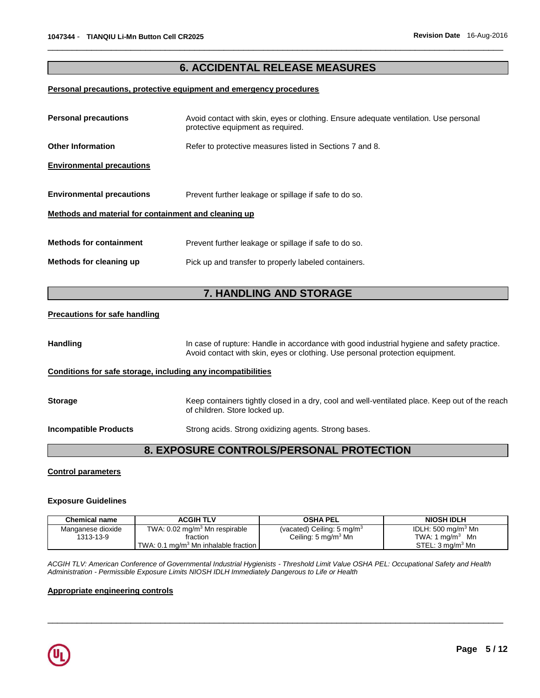# **6. ACCIDENTAL RELEASE MEASURES**

\_\_\_\_\_\_\_\_\_\_\_\_\_\_\_\_\_\_\_\_\_\_\_\_\_\_\_\_\_\_\_\_\_\_\_\_\_\_\_\_\_\_\_\_\_\_\_\_\_\_\_\_\_\_\_\_\_\_\_\_\_\_\_\_\_\_\_\_\_\_\_\_\_\_\_\_\_\_\_\_\_\_\_\_\_\_\_\_\_\_\_\_\_

#### **Personal precautions, protective equipment and emergency procedures**

| <b>Personal precautions</b>                                  | Avoid contact with skin, eyes or clothing. Ensure adequate ventilation. Use personal<br>protective equipment as required.                                                   |  |
|--------------------------------------------------------------|-----------------------------------------------------------------------------------------------------------------------------------------------------------------------------|--|
| <b>Other Information</b>                                     | Refer to protective measures listed in Sections 7 and 8.                                                                                                                    |  |
| <b>Environmental precautions</b>                             |                                                                                                                                                                             |  |
| <b>Environmental precautions</b>                             | Prevent further leakage or spillage if safe to do so.                                                                                                                       |  |
| Methods and material for containment and cleaning up         |                                                                                                                                                                             |  |
| <b>Methods for containment</b>                               | Prevent further leakage or spillage if safe to do so.                                                                                                                       |  |
| Methods for cleaning up                                      | Pick up and transfer to properly labeled containers.                                                                                                                        |  |
|                                                              |                                                                                                                                                                             |  |
|                                                              | 7. HANDLING AND STORAGE                                                                                                                                                     |  |
| <b>Precautions for safe handling</b>                         |                                                                                                                                                                             |  |
| <b>Handling</b>                                              | In case of rupture: Handle in accordance with good industrial hygiene and safety practice.<br>Avoid contact with skin, eyes or clothing. Use personal protection equipment. |  |
| Conditions for safe storage, including any incompatibilities |                                                                                                                                                                             |  |
| <b>Storage</b>                                               | Keep containers tightly closed in a dry, cool and well-ventilated place. Keep out of the reach<br>of children. Store locked up.                                             |  |
| <b>Incompatible Products</b>                                 | Strong acids. Strong oxidizing agents. Strong bases.                                                                                                                        |  |
|                                                              | 8. EXPOSURE CONTROLS/PERSONAL PROTECTION                                                                                                                                    |  |
|                                                              |                                                                                                                                                                             |  |

#### **Control parameters**

#### **Exposure Guidelines**

| Chemical name     | <b>ACGIH TLV</b>                                 | <b>OSHA PEL</b>                       | <b>NIOSH IDLH</b>            |
|-------------------|--------------------------------------------------|---------------------------------------|------------------------------|
| Manganese dioxide | TWA: $0.02 \,\mathrm{mg/m^3}$ Mn respirable      | (vacated) Ceiling: $5 \text{ mg/m}^3$ | IDLH: 500 mg/m $3$ Mn        |
| 1313-13-9         | fraction                                         | Ceiling: $5 \text{ mg/m}^3$ Mn        | TWA: 1 $ma/m3$ Mn            |
|                   | TWA: 0.1 mg/m <sup>3</sup> Mn inhalable fraction |                                       | STEL: 3 mg/m <sup>3</sup> Mn |

*ACGIH TLV: American Conference of Governmental Industrial Hygienists - Threshold Limit Value OSHA PEL: Occupational Safety and Health Administration - Permissible Exposure Limits NIOSH IDLH Immediately Dangerous to Life or Health* 

\_\_\_\_\_\_\_\_\_\_\_\_\_\_\_\_\_\_\_\_\_\_\_\_\_\_\_\_\_\_\_\_\_\_\_\_\_\_\_\_\_\_\_\_\_\_\_\_\_\_\_\_\_\_\_\_\_\_\_\_\_\_\_\_\_\_\_\_\_\_\_\_\_\_\_\_\_\_\_\_\_\_\_\_\_\_\_\_\_\_\_\_\_

#### **Appropriate engineering controls**

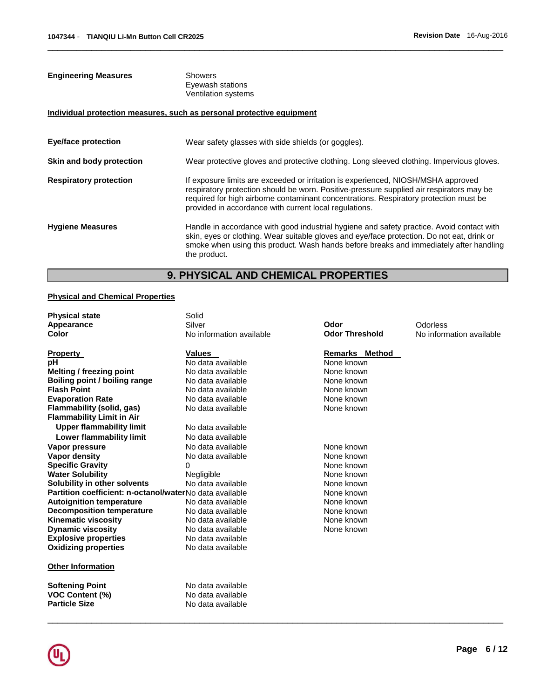#### **Engineering Measures** Showers

Eyewash stations Ventilation systems

#### **Individual protection measures, such as personal protective equipment**

| <b>Eye/face protection</b>    | Wear safety glasses with side shields (or goggles).                                                                                                                                                                                                                                                                              |
|-------------------------------|----------------------------------------------------------------------------------------------------------------------------------------------------------------------------------------------------------------------------------------------------------------------------------------------------------------------------------|
| Skin and body protection      | Wear protective gloves and protective clothing. Long sleeved clothing. Impervious gloves.                                                                                                                                                                                                                                        |
| <b>Respiratory protection</b> | If exposure limits are exceeded or irritation is experienced, NIOSH/MSHA approved<br>respiratory protection should be worn. Positive-pressure supplied air respirators may be<br>required for high airborne contaminant concentrations. Respiratory protection must be<br>provided in accordance with current local regulations. |
| <b>Hygiene Measures</b>       | Handle in accordance with good industrial hygiene and safety practice. Avoid contact with<br>skin, eyes or clothing. Wear suitable gloves and eye/face protection. Do not eat, drink or<br>smoke when using this product. Wash hands before breaks and immediately after handling<br>the product.                                |

\_\_\_\_\_\_\_\_\_\_\_\_\_\_\_\_\_\_\_\_\_\_\_\_\_\_\_\_\_\_\_\_\_\_\_\_\_\_\_\_\_\_\_\_\_\_\_\_\_\_\_\_\_\_\_\_\_\_\_\_\_\_\_\_\_\_\_\_\_\_\_\_\_\_\_\_\_\_\_\_\_\_\_\_\_\_\_\_\_\_\_\_\_

# **9. PHYSICAL AND CHEMICAL PROPERTIES**

#### **Physical and Chemical Properties**

| <b>Physical state</b><br>Appearance                     | Solid<br>Silver          | Odor                  | Odorless                 |
|---------------------------------------------------------|--------------------------|-----------------------|--------------------------|
| Color                                                   | No information available | <b>Odor Threshold</b> | No information available |
| <b>Property</b>                                         | <b>Values</b>            | <b>Remarks Method</b> |                          |
| pН                                                      | No data available        | None known            |                          |
| <b>Melting / freezing point</b>                         | No data available        | None known            |                          |
| Boiling point / boiling range                           | No data available        | None known            |                          |
| <b>Flash Point</b>                                      | No data available        | None known            |                          |
| <b>Evaporation Rate</b>                                 | No data available        | None known            |                          |
| Flammability (solid, gas)                               | No data available        | None known            |                          |
| <b>Flammability Limit in Air</b>                        |                          |                       |                          |
| <b>Upper flammability limit</b>                         | No data available        |                       |                          |
| Lower flammability limit                                | No data available        |                       |                          |
| Vapor pressure                                          | No data available        | None known            |                          |
| Vapor density                                           | No data available        | None known            |                          |
| <b>Specific Gravity</b>                                 | 0                        | None known            |                          |
| <b>Water Solubility</b>                                 | Negligible               | None known            |                          |
| Solubility in other solvents                            | No data available        | None known            |                          |
| Partition coefficient: n-octanol/waterNo data available |                          | None known            |                          |
| <b>Autoignition temperature</b>                         | No data available        | None known            |                          |
| <b>Decomposition temperature</b>                        | No data available        | None known            |                          |
| <b>Kinematic viscosity</b>                              | No data available        | None known            |                          |
| <b>Dynamic viscosity</b>                                | No data available        | None known            |                          |
| <b>Explosive properties</b>                             | No data available        |                       |                          |
| <b>Oxidizing properties</b>                             | No data available        |                       |                          |
| <b>Other Information</b>                                |                          |                       |                          |
| <b>Softening Point</b>                                  | No data available        |                       |                          |

\_\_\_\_\_\_\_\_\_\_\_\_\_\_\_\_\_\_\_\_\_\_\_\_\_\_\_\_\_\_\_\_\_\_\_\_\_\_\_\_\_\_\_\_\_\_\_\_\_\_\_\_\_\_\_\_\_\_\_\_\_\_\_\_\_\_\_\_\_\_\_\_\_\_\_\_\_\_\_\_\_\_\_\_\_\_\_\_\_\_\_\_\_

**No data available**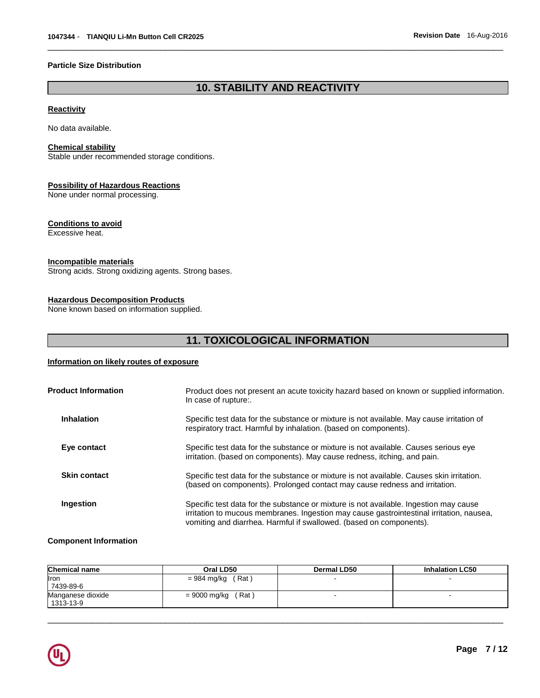#### **Particle Size Distribution**

# **10. STABILITY AND REACTIVITY**

\_\_\_\_\_\_\_\_\_\_\_\_\_\_\_\_\_\_\_\_\_\_\_\_\_\_\_\_\_\_\_\_\_\_\_\_\_\_\_\_\_\_\_\_\_\_\_\_\_\_\_\_\_\_\_\_\_\_\_\_\_\_\_\_\_\_\_\_\_\_\_\_\_\_\_\_\_\_\_\_\_\_\_\_\_\_\_\_\_\_\_\_\_

#### **Reactivity**

No data available.

#### **Chemical stability**

Stable under recommended storage conditions.

#### **Possibility of Hazardous Reactions**

None under normal processing.

#### **Conditions to avoid**

Excessive heat.

#### **Incompatible materials**

Strong acids. Strong oxidizing agents. Strong bases.

#### **Hazardous Decomposition Products**

None known based on information supplied.

# **11. TOXICOLOGICAL INFORMATION**

#### **Information on likely routes of exposure**

| <b>Product Information</b> | Product does not present an acute toxicity hazard based on known or supplied information.<br>In case of rupture:.                                                                                                                                        |
|----------------------------|----------------------------------------------------------------------------------------------------------------------------------------------------------------------------------------------------------------------------------------------------------|
| <b>Inhalation</b>          | Specific test data for the substance or mixture is not available. May cause irritation of<br>respiratory tract. Harmful by inhalation. (based on components).                                                                                            |
| Eye contact                | Specific test data for the substance or mixture is not available. Causes serious eye<br>irritation. (based on components). May cause redness, itching, and pain.                                                                                         |
| <b>Skin contact</b>        | Specific test data for the substance or mixture is not available. Causes skin irritation.<br>(based on components). Prolonged contact may cause redness and irritation.                                                                                  |
| Ingestion                  | Specific test data for the substance or mixture is not available. Ingestion may cause<br>irritation to mucous membranes. Ingestion may cause gastrointestinal irritation, nausea,<br>vomiting and diarrhea. Harmful if swallowed. (based on components). |

#### **Component Information**

| <b>Chemical name</b>           | Oral LD50             | <b>Dermal LD50</b> | <b>Inhalation LC50</b> |
|--------------------------------|-----------------------|--------------------|------------------------|
| <b>Iron</b><br>7439-89-6       | (Rat)<br>= 984 mg/kg  |                    |                        |
| Manganese dioxide<br>1313-13-9 | (Rat)<br>= 9000 mg/kg |                    |                        |

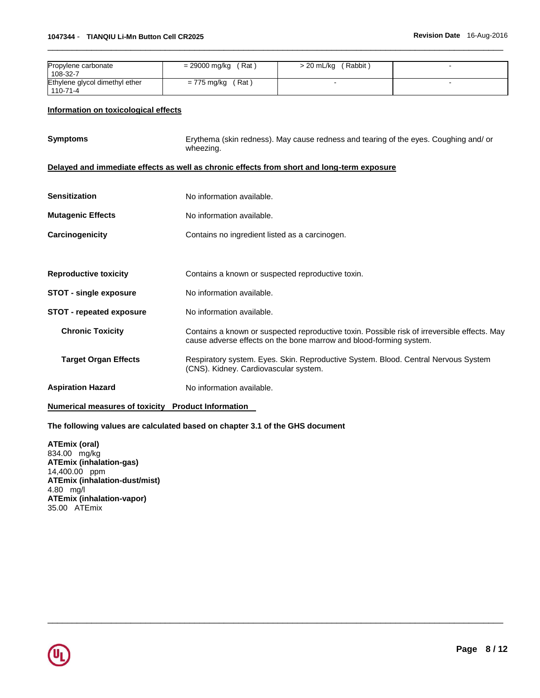| Propylene carbonate                        | (Rat)                      | Rabbit     |  |
|--------------------------------------------|----------------------------|------------|--|
| 108-32-7                                   | = 29000 mg/kg              | > 20 mL/kg |  |
| Ethylene glycol dimethyl ether<br>110-71-4 | $'$ Rat $)$<br>= 775 mg/kg |            |  |

#### **Information on toxicological effects**

| <b>Symptoms</b>                                    | Erythema (skin redness). May cause redness and tearing of the eyes. Coughing and/or<br>wheezing.                                                                   |  |  |  |  |
|----------------------------------------------------|--------------------------------------------------------------------------------------------------------------------------------------------------------------------|--|--|--|--|
|                                                    | Delayed and immediate effects as well as chronic effects from short and long-term exposure                                                                         |  |  |  |  |
| <b>Sensitization</b>                               | No information available.                                                                                                                                          |  |  |  |  |
| <b>Mutagenic Effects</b>                           | No information available.                                                                                                                                          |  |  |  |  |
| Carcinogenicity                                    | Contains no ingredient listed as a carcinogen.                                                                                                                     |  |  |  |  |
| <b>Reproductive toxicity</b>                       | Contains a known or suspected reproductive toxin.                                                                                                                  |  |  |  |  |
| <b>STOT - single exposure</b>                      | No information available.                                                                                                                                          |  |  |  |  |
| <b>STOT - repeated exposure</b>                    | No information available.                                                                                                                                          |  |  |  |  |
| <b>Chronic Toxicity</b>                            | Contains a known or suspected reproductive toxin. Possible risk of irreversible effects. May<br>cause adverse effects on the bone marrow and blood-forming system. |  |  |  |  |
| <b>Target Organ Effects</b>                        | Respiratory system. Eyes. Skin. Reproductive System. Blood. Central Nervous System<br>(CNS). Kidney. Cardiovascular system.                                        |  |  |  |  |
| <b>Aspiration Hazard</b>                           | No information available.                                                                                                                                          |  |  |  |  |
| Numerical measures of toxicity Product Information |                                                                                                                                                                    |  |  |  |  |

\_\_\_\_\_\_\_\_\_\_\_\_\_\_\_\_\_\_\_\_\_\_\_\_\_\_\_\_\_\_\_\_\_\_\_\_\_\_\_\_\_\_\_\_\_\_\_\_\_\_\_\_\_\_\_\_\_\_\_\_\_\_\_\_\_\_\_\_\_\_\_\_\_\_\_\_\_\_\_\_\_\_\_\_\_\_\_\_\_\_\_\_\_

**The following values are calculated based on chapter 3.1 of the GHS document**

**ATEmix (oral)** 834.00 mg/kg **ATEmix (inhalation-gas)** 14,400.00 ppm **ATEmix (inhalation-dust/mist)** 4.80 mg/l **ATEmix (inhalation-vapor)** 35.00 ATEmix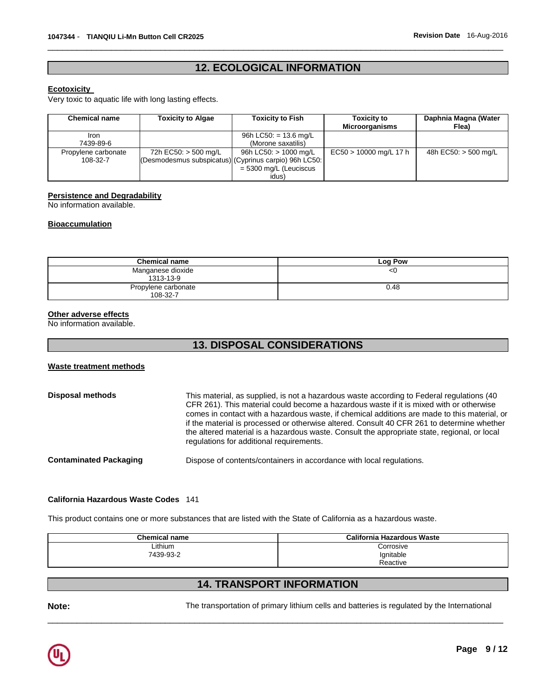### **12. ECOLOGICAL INFORMATION**

\_\_\_\_\_\_\_\_\_\_\_\_\_\_\_\_\_\_\_\_\_\_\_\_\_\_\_\_\_\_\_\_\_\_\_\_\_\_\_\_\_\_\_\_\_\_\_\_\_\_\_\_\_\_\_\_\_\_\_\_\_\_\_\_\_\_\_\_\_\_\_\_\_\_\_\_\_\_\_\_\_\_\_\_\_\_\_\_\_\_\_\_\_

#### **Ecotoxicity**

Very toxic to aquatic life with long lasting effects.

| <b>Chemical name</b> | <b>Toxicity to Algae</b>                              | <b>Toxicity to Fish</b>  | <b>Toxicity to</b><br><b>Microorganisms</b> | Daphnia Magna (Water<br>Flea) |
|----------------------|-------------------------------------------------------|--------------------------|---------------------------------------------|-------------------------------|
| Iron                 |                                                       | 96h LC50: $= 13.6$ mg/L  |                                             |                               |
| 7439-89-6            |                                                       | (Morone saxatilis)       |                                             |                               |
| Propylene carbonate  | 72h EC50: > 500 mg/L                                  | 96h LC50: > 1000 mg/L    | $EC50 > 10000$ mg/L 17 h                    | 48h EC50: > 500 mg/L          |
| 108-32-7             | (Desmodesmus subspicatus) (Cyprinus carpio) 96h LC50: |                          |                                             |                               |
|                      |                                                       | $=$ 5300 mg/L (Leuciscus |                                             |                               |
|                      |                                                       | idus)                    |                                             |                               |

#### **Persistence and Degradability**

No information available.

#### **Bioaccumulation**

| <b>Chemical name</b>            | <b>Log Pow</b> |
|---------------------------------|----------------|
| Manganese dioxide<br>1313-13-9  | ح⊍             |
| Propylene carbonate<br>108-32-7 | 0.48           |

#### **Other adverse effects**

No information available.

# **13. DISPOSAL CONSIDERATIONS**

#### **Waste treatment methods**

| <b>Disposal methods</b>       | This material, as supplied, is not a hazardous waste according to Federal regulations (40)<br>CFR 261). This material could become a hazardous waste if it is mixed with or otherwise<br>comes in contact with a hazardous waste, if chemical additions are made to this material, or<br>if the material is processed or otherwise altered. Consult 40 CFR 261 to determine whether<br>the altered material is a hazardous waste. Consult the appropriate state, regional, or local<br>regulations for additional requirements. |
|-------------------------------|---------------------------------------------------------------------------------------------------------------------------------------------------------------------------------------------------------------------------------------------------------------------------------------------------------------------------------------------------------------------------------------------------------------------------------------------------------------------------------------------------------------------------------|
| <b>Contaminated Packaging</b> | Dispose of contents/containers in accordance with local regulations.                                                                                                                                                                                                                                                                                                                                                                                                                                                            |

#### **California Hazardous Waste Codes** 141

This product contains one or more substances that are listed with the State of California as a hazardous waste.

| <b>Chemical name</b> | California Hazardous Waste |
|----------------------|----------------------------|
| Lithium              | Corrosive                  |
| 7439-93-2            | Ignitable                  |
|                      | Reactive                   |

# **14. TRANSPORT INFORMATION**

\_\_\_\_\_\_\_\_\_\_\_\_\_\_\_\_\_\_\_\_\_\_\_\_\_\_\_\_\_\_\_\_\_\_\_\_\_\_\_\_\_\_\_\_\_\_\_\_\_\_\_\_\_\_\_\_\_\_\_\_\_\_\_\_\_\_\_\_\_\_\_\_\_\_\_\_\_\_\_\_\_\_\_\_\_\_\_\_\_\_\_\_\_

Note: **Note:** The transportation of primary lithium cells and batteries is regulated by the International

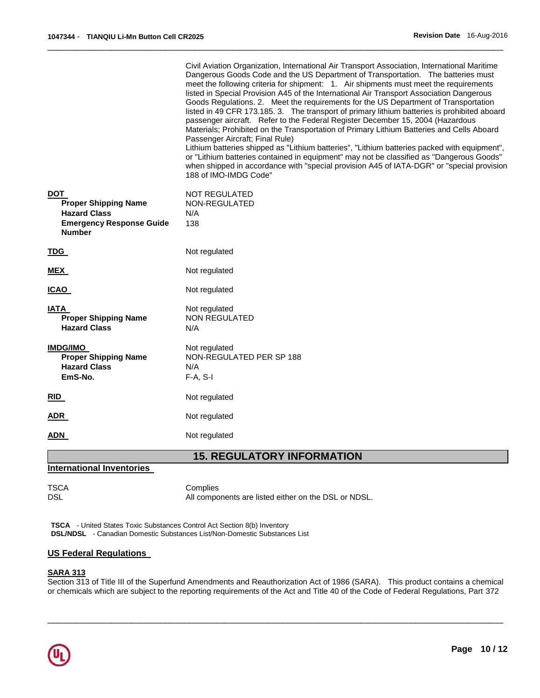|                                                  | Civil Aviation Organization, International Air Transport Association, International Maritime<br>Dangerous Goods Code and the US Department of Transportation. The batteries must<br>meet the following criteria for shipment: 1. Air shipments must meet the requirements<br>listed in Special Provision A45 of the International Air Transport Association Dangerous<br>Goods Regulations. 2. Meet the requirements for the US Department of Transportation<br>listed in 49 CFR 173.185. 3. The transport of primary lithium batteries is prohibited aboard<br>passenger aircraft. Refer to the Federal Register December 15, 2004 (Hazardous<br>Materials; Prohibited on the Transportation of Primary Lithium Batteries and Cells Aboard<br>Passenger Aircraft; Final Rule)<br>Lithium batteries shipped as "Lithium batteries", "Lithium batteries packed with equipment", |
|--------------------------------------------------|--------------------------------------------------------------------------------------------------------------------------------------------------------------------------------------------------------------------------------------------------------------------------------------------------------------------------------------------------------------------------------------------------------------------------------------------------------------------------------------------------------------------------------------------------------------------------------------------------------------------------------------------------------------------------------------------------------------------------------------------------------------------------------------------------------------------------------------------------------------------------------|
|                                                  | or "Lithium batteries contained in equipment" may not be classified as "Dangerous Goods"<br>when shipped in accordance with "special provision A45 of IATA-DGR" or "special provision"<br>188 of IMO-IMDG Code"                                                                                                                                                                                                                                                                                                                                                                                                                                                                                                                                                                                                                                                                |
| <b>DOT</b>                                       | <b>NOT REGULATED</b>                                                                                                                                                                                                                                                                                                                                                                                                                                                                                                                                                                                                                                                                                                                                                                                                                                                           |
| <b>Proper Shipping Name</b>                      | NON-REGULATED                                                                                                                                                                                                                                                                                                                                                                                                                                                                                                                                                                                                                                                                                                                                                                                                                                                                  |
| <b>Hazard Class</b>                              | N/A                                                                                                                                                                                                                                                                                                                                                                                                                                                                                                                                                                                                                                                                                                                                                                                                                                                                            |
| <b>Emergency Response Guide</b><br><b>Number</b> | 138                                                                                                                                                                                                                                                                                                                                                                                                                                                                                                                                                                                                                                                                                                                                                                                                                                                                            |
| <u>TDG </u>                                      | Not regulated                                                                                                                                                                                                                                                                                                                                                                                                                                                                                                                                                                                                                                                                                                                                                                                                                                                                  |
| MEX                                              | Not regulated                                                                                                                                                                                                                                                                                                                                                                                                                                                                                                                                                                                                                                                                                                                                                                                                                                                                  |
| <u>ICAO</u>                                      | Not regulated                                                                                                                                                                                                                                                                                                                                                                                                                                                                                                                                                                                                                                                                                                                                                                                                                                                                  |
| <u>IATA</u>                                      | Not regulated                                                                                                                                                                                                                                                                                                                                                                                                                                                                                                                                                                                                                                                                                                                                                                                                                                                                  |
| <b>Proper Shipping Name</b>                      | <b>NON REGULATED</b>                                                                                                                                                                                                                                                                                                                                                                                                                                                                                                                                                                                                                                                                                                                                                                                                                                                           |
| <b>Hazard Class</b>                              | N/A                                                                                                                                                                                                                                                                                                                                                                                                                                                                                                                                                                                                                                                                                                                                                                                                                                                                            |
| <b>IMDG/IMO</b>                                  | Not regulated                                                                                                                                                                                                                                                                                                                                                                                                                                                                                                                                                                                                                                                                                                                                                                                                                                                                  |
| <b>Proper Shipping Name</b>                      | NON-REGULATED PER SP 188                                                                                                                                                                                                                                                                                                                                                                                                                                                                                                                                                                                                                                                                                                                                                                                                                                                       |
| <b>Hazard Class</b>                              | N/A                                                                                                                                                                                                                                                                                                                                                                                                                                                                                                                                                                                                                                                                                                                                                                                                                                                                            |
| EmS-No.                                          | $F-A, S-I$                                                                                                                                                                                                                                                                                                                                                                                                                                                                                                                                                                                                                                                                                                                                                                                                                                                                     |
| RID                                              | Not regulated                                                                                                                                                                                                                                                                                                                                                                                                                                                                                                                                                                                                                                                                                                                                                                                                                                                                  |
| <b>ADR</b>                                       | Not regulated                                                                                                                                                                                                                                                                                                                                                                                                                                                                                                                                                                                                                                                                                                                                                                                                                                                                  |
| ADN                                              | Not regulated                                                                                                                                                                                                                                                                                                                                                                                                                                                                                                                                                                                                                                                                                                                                                                                                                                                                  |
|                                                  | <b>15. REGULATORY INFORMATION</b>                                                                                                                                                                                                                                                                                                                                                                                                                                                                                                                                                                                                                                                                                                                                                                                                                                              |

#### **International Inventories**

TSCA Complies<br>DSL All compo All components are listed either on the DSL or NDSL.

**TSCA** - United States Toxic Substances Control Act Section 8(b) Inventory **DSL/NDSL** - Canadian Domestic Substances List/Non-Domestic Substances List

#### **US Federal Regulations**

#### **SARA 313**

Section 313 of Title III of the Superfund Amendments and Reauthorization Act of 1986 (SARA). This product contains a chemical or chemicals which are subject to the reporting requirements of the Act and Title 40 of the Code of Federal Regulations, Part 372

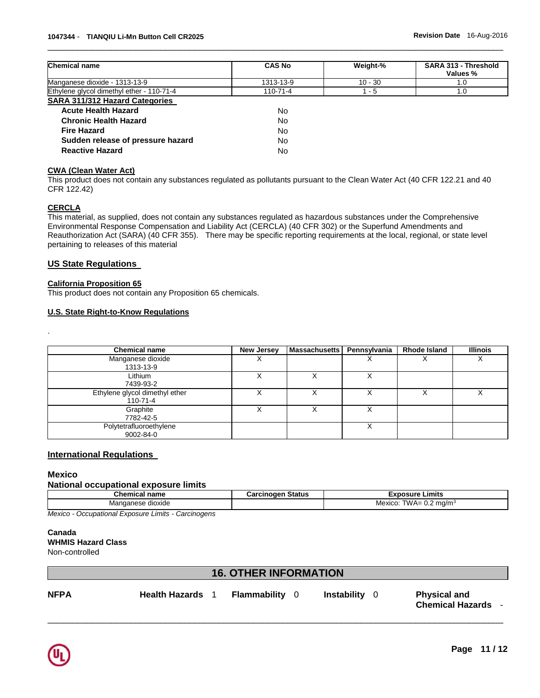| <b>Chemical name</b>                      | <b>CAS No</b> | Weight-%  | SARA 313 - Threshold<br>Values % |  |
|-------------------------------------------|---------------|-----------|----------------------------------|--|
| Manganese dioxide - 1313-13-9             | 1313-13-9     | $10 - 30$ | 1.0                              |  |
| Ethylene glycol dimethyl ether - 110-71-4 | 110-71-4      | $1 - 5$   | 1.0                              |  |
| <b>SARA 311/312 Hazard Categories</b>     |               |           |                                  |  |
| <b>Acute Health Hazard</b>                | No            |           |                                  |  |
| <b>Chronic Health Hazard</b>              | No            |           |                                  |  |
| <b>Fire Hazard</b>                        | <b>No</b>     |           |                                  |  |
| Sudden release of pressure hazard         | No            |           |                                  |  |
| <b>Reactive Hazard</b>                    | No            |           |                                  |  |

#### **CWA (Clean Water Act)**

This product does not contain any substances regulated as pollutants pursuant to the Clean Water Act (40 CFR 122.21 and 40 CFR 122.42)

#### **CERCLA**

.

This material, as supplied, does not contain any substances regulated as hazardous substances under the Comprehensive Environmental Response Compensation and Liability Act (CERCLA) (40 CFR 302) or the Superfund Amendments and Reauthorization Act (SARA) (40 CFR 355). There may be specific reporting requirements at the local, regional, or state level pertaining to releases of this material

#### **US State Regulations**

#### **California Proposition 65**

This product does not contain any Proposition 65 chemicals.

#### **U.S. State Right-to-Know Regulations**

| <b>Chemical name</b>                             | <b>New Jersey</b> | <b>Massachusetts</b> | Pennsylvania | <b>Rhode Island</b> | <b>Illinois</b> |
|--------------------------------------------------|-------------------|----------------------|--------------|---------------------|-----------------|
| Manganese dioxide<br>1313-13-9                   | ⌒                 |                      | ∧            |                     | ⋏               |
| Lithium<br>7439-93-2                             | ⋏                 |                      | ⋏            |                     |                 |
| Ethylene glycol dimethyl ether<br>$110 - 71 - 4$ |                   |                      |              |                     |                 |
| Graphite<br>7782-42-5                            |                   |                      | ⋏            |                     |                 |
| Polytetrafluoroethylene<br>9002-84-0             |                   |                      | Х            |                     |                 |

#### **International Regulations**

#### **Mexico**

#### **National occupational exposure limits**

| Chemical                  | <b>Status</b>     | Limits                                    |
|---------------------------|-------------------|-------------------------------------------|
| name                      | <b>Carcinogen</b> | Exposure                                  |
| dioxide<br>Manganese<br>. |                   | TWA= 0.2<br>Mexico<br>2 mg/m <sup>.</sup> |

*Mexico - Occupational Exposure Limits - Carcinogens* 

#### **Canada WHMIS Hazard Class** Non-controlled

### **16. OTHER INFORMATION**

| <b>NFPA</b> | <b>Health Hazards</b> | Flammability |  | <b>Instability</b> |  | <b>Physical and</b><br><b>Chemical Hazards -</b> |  |
|-------------|-----------------------|--------------|--|--------------------|--|--------------------------------------------------|--|
|-------------|-----------------------|--------------|--|--------------------|--|--------------------------------------------------|--|